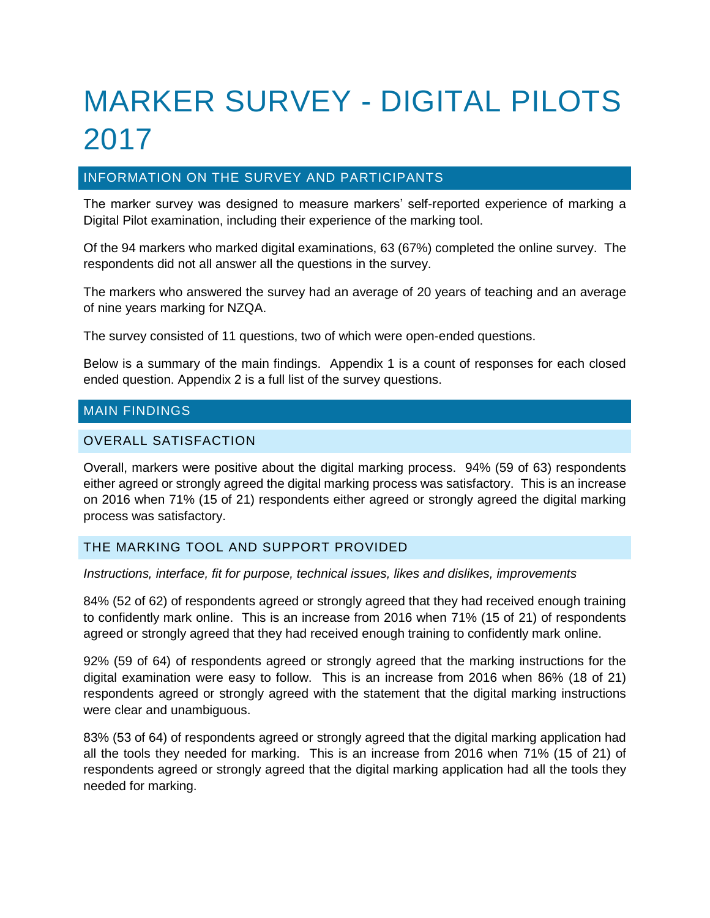# MARKER SURVEY - DIGITAL PILOTS 2017

## INFORMATION ON THE SURVEY AND PARTICIPANTS

The marker survey was designed to measure markers' self-reported experience of marking a Digital Pilot examination, including their experience of the marking tool.

Of the 94 markers who marked digital examinations, 63 (67%) completed the online survey. The respondents did not all answer all the questions in the survey.

The markers who answered the survey had an average of 20 years of teaching and an average of nine years marking for NZQA.

The survey consisted of 11 questions, two of which were open-ended questions.

Below is a summary of the main findings. Appendix 1 is a count of responses for each closed ended question. Appendix 2 is a full list of the survey questions.

## MAIN FINDINGS

## OVERALL SATISFACTION

Overall, markers were positive about the digital marking process. 94% (59 of 63) respondents either agreed or strongly agreed the digital marking process was satisfactory. This is an increase on 2016 when 71% (15 of 21) respondents either agreed or strongly agreed the digital marking process was satisfactory.

## THE MARKING TOOL AND SUPPORT PROVIDED

#### *Instructions, interface, fit for purpose, technical issues, likes and dislikes, improvements*

84% (52 of 62) of respondents agreed or strongly agreed that they had received enough training to confidently mark online. This is an increase from 2016 when 71% (15 of 21) of respondents agreed or strongly agreed that they had received enough training to confidently mark online.

92% (59 of 64) of respondents agreed or strongly agreed that the marking instructions for the digital examination were easy to follow. This is an increase from 2016 when 86% (18 of 21) respondents agreed or strongly agreed with the statement that the digital marking instructions were clear and unambiguous.

83% (53 of 64) of respondents agreed or strongly agreed that the digital marking application had all the tools they needed for marking. This is an increase from 2016 when 71% (15 of 21) of respondents agreed or strongly agreed that the digital marking application had all the tools they needed for marking.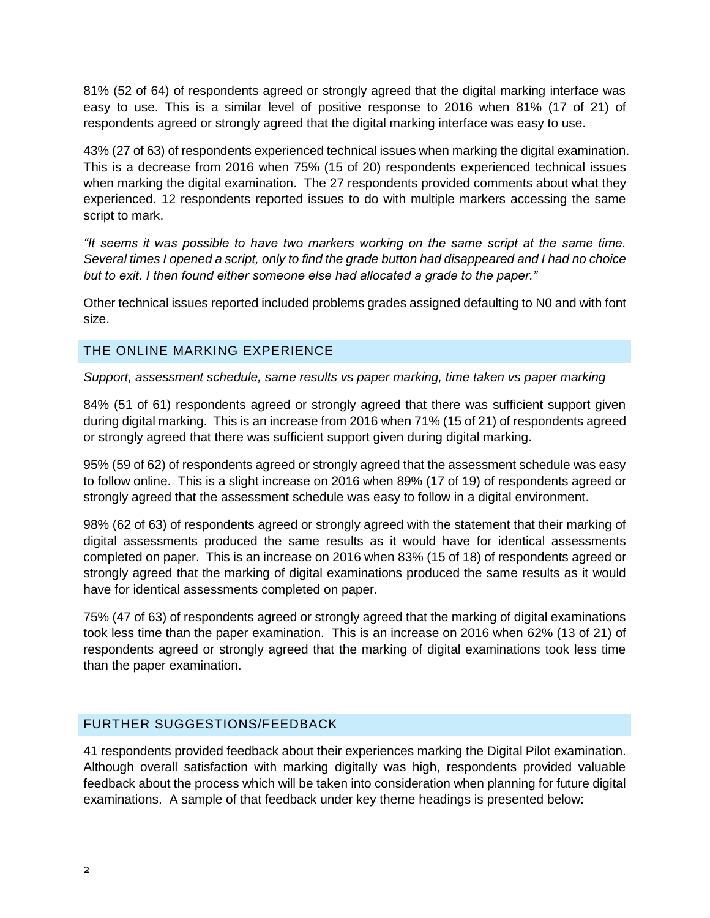81% (52 of 64) of respondents agreed or strongly agreed that the digital marking interface was easy to use. This is a similar level of positive response to 2016 when 81% (17 of 21) of respondents agreed or strongly agreed that the digital marking interface was easy to use.

43% (27 of 63) of respondents experienced technical issues when marking the digital examination. This is a decrease from 2016 when 75% (15 of 20) respondents experienced technical issues when marking the digital examination. The 27 respondents provided comments about what they experienced. 12 respondents reported issues to do with multiple markers accessing the same script to mark.

*"It seems it was possible to have two markers working on the same script at the same time. Several times I opened a script, only to find the grade button had disappeared and I had no choice but to exit. I then found either someone else had allocated a grade to the paper."*

Other technical issues reported included problems grades assigned defaulting to N0 and with font size.

## THE ONLINE MARKING EXPERIENCE

*Support, assessment schedule, same results vs paper marking, time taken vs paper marking*

84% (51 of 61) respondents agreed or strongly agreed that there was sufficient support given during digital marking. This is an increase from 2016 when 71% (15 of 21) of respondents agreed or strongly agreed that there was sufficient support given during digital marking.

95% (59 of 62) of respondents agreed or strongly agreed that the assessment schedule was easy to follow online. This is a slight increase on 2016 when 89% (17 of 19) of respondents agreed or strongly agreed that the assessment schedule was easy to follow in a digital environment.

98% (62 of 63) of respondents agreed or strongly agreed with the statement that their marking of digital assessments produced the same results as it would have for identical assessments completed on paper. This is an increase on 2016 when 83% (15 of 18) of respondents agreed or strongly agreed that the marking of digital examinations produced the same results as it would have for identical assessments completed on paper.

75% (47 of 63) of respondents agreed or strongly agreed that the marking of digital examinations took less time than the paper examination. This is an increase on 2016 when 62% (13 of 21) of respondents agreed or strongly agreed that the marking of digital examinations took less time than the paper examination.

## FURTHER SUGGESTIONS/FEEDBACK

41 respondents provided feedback about their experiences marking the Digital Pilot examination. Although overall satisfaction with marking digitally was high, respondents provided valuable feedback about the process which will be taken into consideration when planning for future digital examinations. A sample of that feedback under key theme headings is presented below: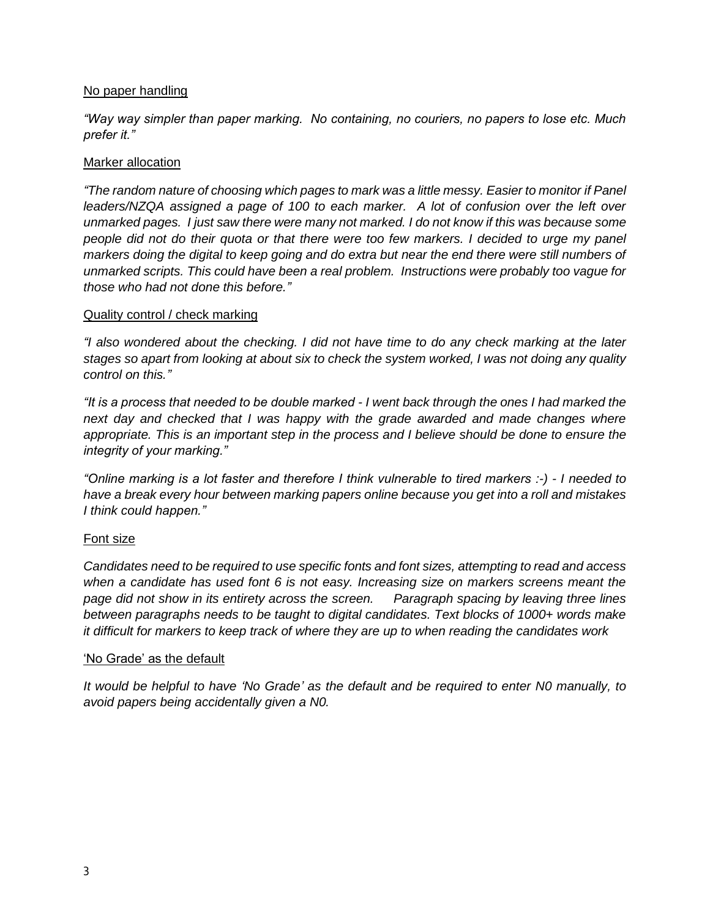## No paper handling

*"Way way simpler than paper marking. No containing, no couriers, no papers to lose etc. Much prefer it."*

## Marker allocation

*"The random nature of choosing which pages to mark was a little messy. Easier to monitor if Panel*  leaders/NZQA assigned a page of 100 to each marker. A lot of confusion over the left over *unmarked pages. I just saw there were many not marked. I do not know if this was because some people did not do their quota or that there were too few markers. I decided to urge my panel markers doing the digital to keep going and do extra but near the end there were still numbers of unmarked scripts. This could have been a real problem. Instructions were probably too vague for those who had not done this before."* 

## Quality control / check marking

*"I also wondered about the checking. I did not have time to do any check marking at the later stages so apart from looking at about six to check the system worked, I was not doing any quality control on this."*

*"It is a process that needed to be double marked - I went back through the ones I had marked the next day and checked that I was happy with the grade awarded and made changes where appropriate. This is an important step in the process and I believe should be done to ensure the integrity of your marking."*

*"Online marking is a lot faster and therefore I think vulnerable to tired markers :-) - I needed to have a break every hour between marking papers online because you get into a roll and mistakes I think could happen."*

## Font size

*Candidates need to be required to use specific fonts and font sizes, attempting to read and access when a candidate has used font 6 is not easy. Increasing size on markers screens meant the page did not show in its entirety across the screen. Paragraph spacing by leaving three lines between paragraphs needs to be taught to digital candidates. Text blocks of 1000+ words make it difficult for markers to keep track of where they are up to when reading the candidates work*

#### 'No Grade' as the default

*It would be helpful to have 'No Grade' as the default and be required to enter N0 manually, to avoid papers being accidentally given a N0.*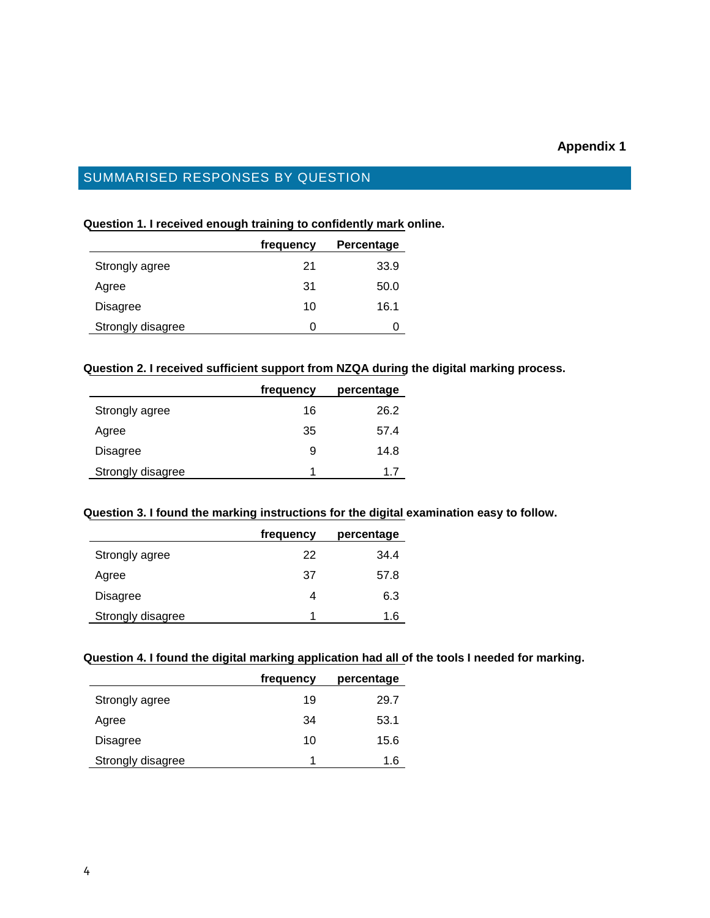# SUMMARISED RESPONSES BY QUESTION

#### **Question 1. I received enough training to confidently mark online.**

|                   | frequency | Percentage |
|-------------------|-----------|------------|
| Strongly agree    | 21        | 33.9       |
| Agree             | 31        | 50.0       |
| Disagree          | 10        | 16.1       |
| Strongly disagree | ი         |            |

#### **Question 2. I received sufficient support from NZQA during the digital marking process.**

|                   | frequency | percentage |
|-------------------|-----------|------------|
| Strongly agree    | 16        | 26.2       |
| Agree             | 35        | 57.4       |
| Disagree          | 9         | 14.8       |
| Strongly disagree |           | 17         |

## **Question 3. I found the marking instructions for the digital examination easy to follow.**

|                   | frequency | percentage |
|-------------------|-----------|------------|
| Strongly agree    | 22        | 34.4       |
| Agree             | 37        | 57.8       |
| <b>Disagree</b>   | 4         | 6.3        |
| Strongly disagree | 1         | 1.6        |

#### **Question 4. I found the digital marking application had all of the tools I needed for marking.**

|                   | frequency | percentage |
|-------------------|-----------|------------|
| Strongly agree    | 19        | 29.7       |
| Agree             | 34        | 53.1       |
| <b>Disagree</b>   | 10        | 15.6       |
| Strongly disagree | 1         | 1.6        |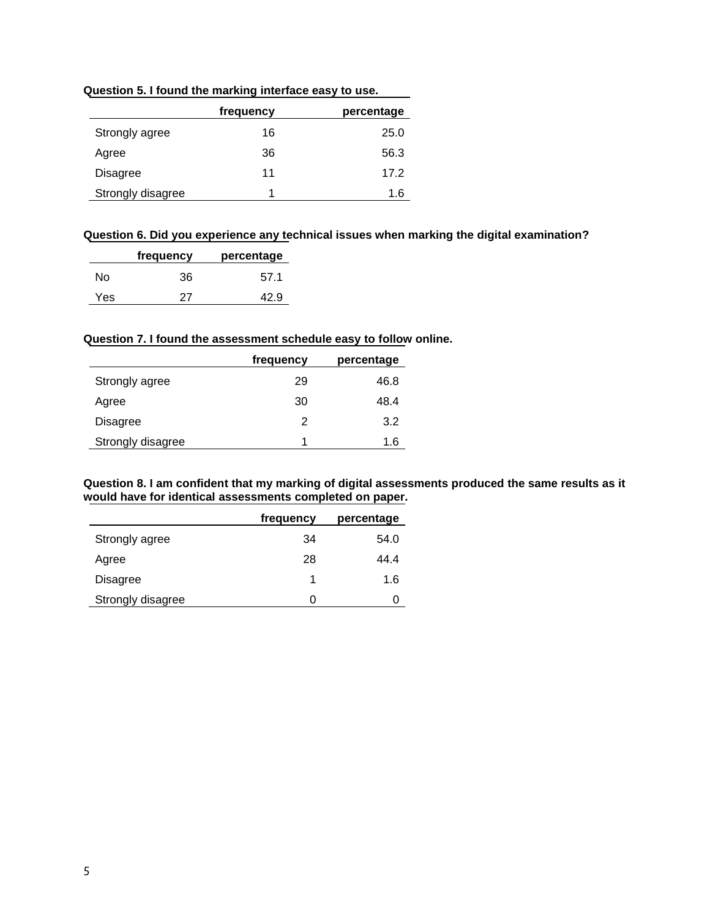| Question 5. I found the marking interface easy to use. |  |  |  |  |  |  |
|--------------------------------------------------------|--|--|--|--|--|--|
|--------------------------------------------------------|--|--|--|--|--|--|

|                   | frequency | percentage |
|-------------------|-----------|------------|
| Strongly agree    | 16        | 25.0       |
| Agree             | 36        | 56.3       |
| Disagree          | 11        | 17.2       |
| Strongly disagree | 1         | 1.6        |

## **Question 6. Did you experience any technical issues when marking the digital examination?**

|      | frequency | percentage |
|------|-----------|------------|
| N٥   | 36        | 57.1       |
| Yes. | 27        | 42.9       |

#### **Question 7. I found the assessment schedule easy to follow online.**

|                   | frequency | percentage |
|-------------------|-----------|------------|
| Strongly agree    | 29        | 46.8       |
| Agree             | 30        | 48.4       |
| Disagree          | 2         | 3.2        |
| Strongly disagree | 1         | 1.6        |

#### **Question 8. I am confident that my marking of digital assessments produced the same results as it would have for identical assessments completed on paper.**

|                   | frequency | percentage |
|-------------------|-----------|------------|
| Strongly agree    | 34        | 54.0       |
| Agree             | 28        | 44.4       |
| <b>Disagree</b>   | 1         | 1.6        |
| Strongly disagree | O         |            |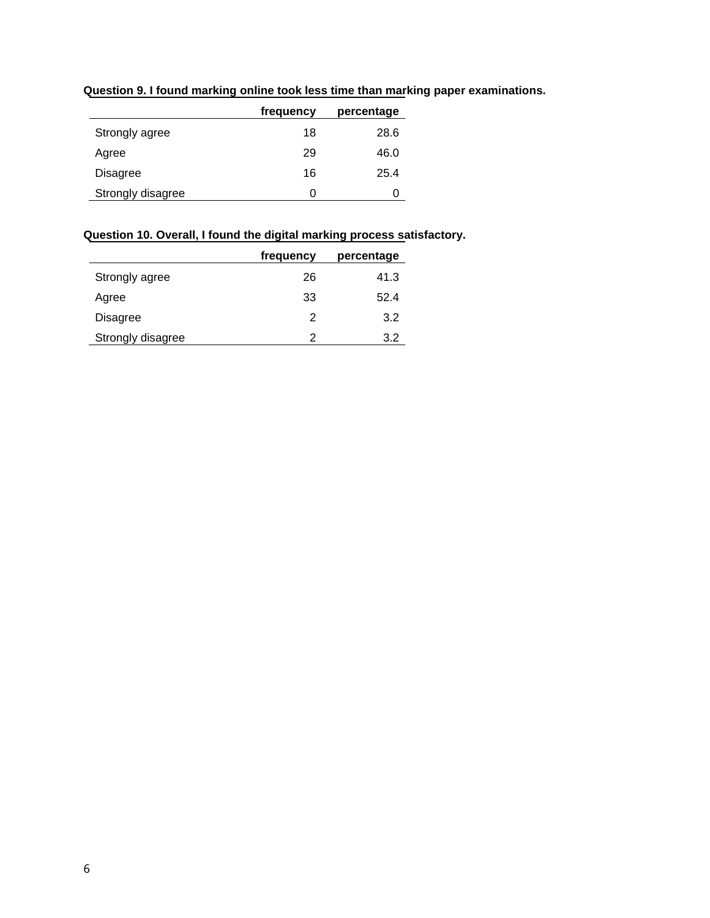**Question 9. I found marking online took less time than marking paper examinations.**

|                   | frequency | percentage |
|-------------------|-----------|------------|
| Strongly agree    | 18        | 28.6       |
| Agree             | 29        | 46.0       |
| Disagree          | 16        | 25.4       |
| Strongly disagree | 0         | 0          |

## **Question 10. Overall, I found the digital marking process satisfactory.**

|                   | frequency | percentage |
|-------------------|-----------|------------|
| Strongly agree    | 26        | 41.3       |
| Agree             | 33        | 52.4       |
| Disagree          | 2         | 3.2        |
| Strongly disagree | 2         | 3.2        |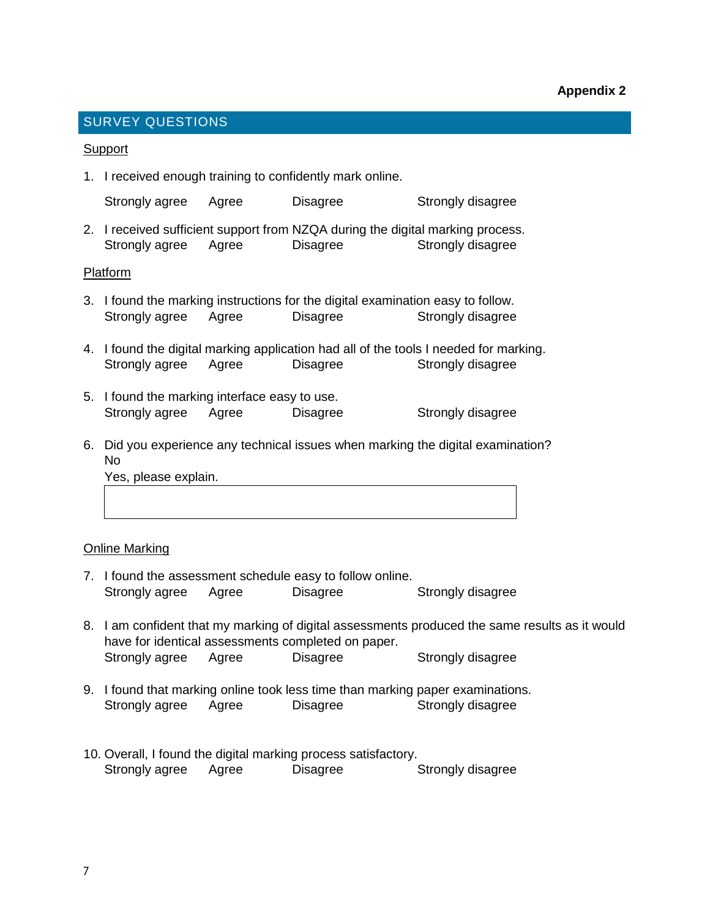#### **Appendix 2**

### SURVEY QUESTIONS

#### Support

1. I received enough training to confidently mark online.

Strongly agree Agree Disagree Strongly disagree

2. I received sufficient support from NZQA during the digital marking process. Strongly agree Agree Disagree Strongly disagree

#### Platform

- 3. I found the marking instructions for the digital examination easy to follow. Strongly agree Agree Disagree Strongly disagree
- 4. I found the digital marking application had all of the tools I needed for marking. Strongly agree Agree Disagree Strongly disagree
- 5. I found the marking interface easy to use. Strongly agree Agree Disagree Strongly disagree
- 6. Did you experience any technical issues when marking the digital examination? No

Yes, please explain.

#### Online Marking

- 7. I found the assessment schedule easy to follow online. Strongly agree Agree Disagree Strongly disagree
- 8. I am confident that my marking of digital assessments produced the same results as it would have for identical assessments completed on paper. Strongly agree Agree Disagree Strongly disagree
- 9. I found that marking online took less time than marking paper examinations. Strongly agree Agree Disagree Strongly disagree
- 10. Overall, I found the digital marking process satisfactory. Strongly agree Agree Disagree Strongly disagree